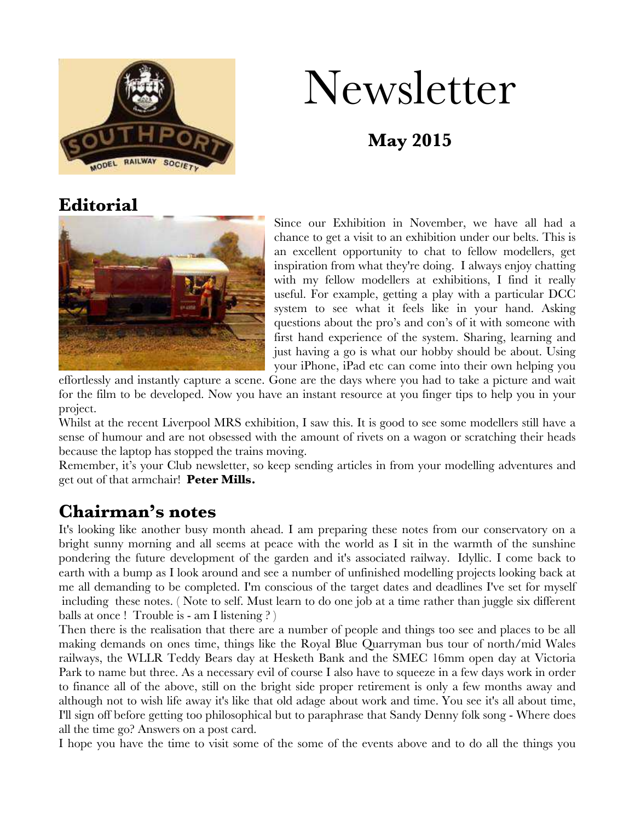

# Newsletter

# **May 2015**

# **Editorial**



Since our Exhibition in November, we have all had a chance to get a visit to an exhibition under our belts. This is an excellent opportunity to chat to fellow modellers, get inspiration from what they're doing. I always enjoy chatting with my fellow modellers at exhibitions, I find it really useful. For example, getting a play with a particular DCC system to see what it feels like in your hand. Asking questions about the pro's and con's of it with someone with first hand experience of the system. Sharing, learning and just having a go is what our hobby should be about. Using your iPhone, iPad etc can come into their own helping you

effortlessly and instantly capture a scene. Gone are the days where you had to take a picture and wait for the film to be developed. Now you have an instant resource at you finger tips to help you in your project.

Whilst at the recent Liverpool MRS exhibition, I saw this. It is good to see some modellers still have a sense of humour and are not obsessed with the amount of rivets on a wagon or scratching their heads because the laptop has stopped the trains moving.

Remember, it's your Club newsletter, so keep sending articles in from your modelling adventures and get out of that armchair! **Peter Mills.**

# **Chairman's notes**

It's looking like another busy month ahead. I am preparing these notes from our conservatory on a bright sunny morning and all seems at peace with the world as I sit in the warmth of the sunshine pondering the future development of the garden and it's associated railway. Idyllic. I come back to earth with a bump as I look around and see a number of unfinished modelling projects looking back at me all demanding to be completed. I'm conscious of the target dates and deadlines I've set for myself including these notes. ( Note to self. Must learn to do one job at a time rather than juggle six different balls at once ! Trouble is - am I listening ? )

Then there is the realisation that there are a number of people and things too see and places to be all making demands on ones time, things like the Royal Blue Quarryman bus tour of north/mid Wales railways, the WLLR Teddy Bears day at Hesketh Bank and the SMEC 16mm open day at Victoria Park to name but three. As a necessary evil of course I also have to squeeze in a few days work in order to finance all of the above, still on the bright side proper retirement is only a few months away and although not to wish life away it's like that old adage about work and time. You see it's all about time, I'll sign off before getting too philosophical but to paraphrase that Sandy Denny folk song - Where does all the time go? Answers on a post card.

I hope you have the time to visit some of the some of the events above and to do all the things you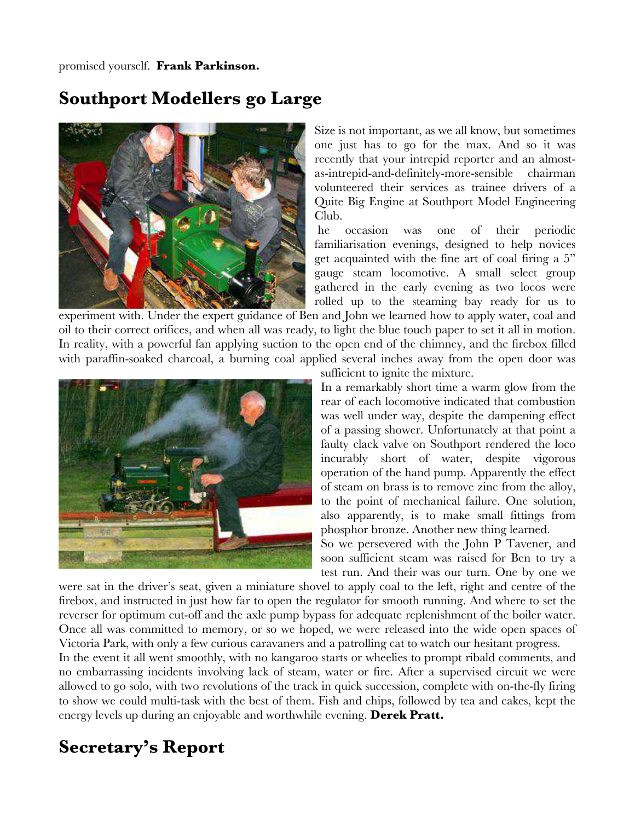promised yourself. **Frank Parkinson.**

## **Southport Modellers go Large**



Size is not important, as we all know, but sometimes one just has to go for the max. And so it was recently that your intrepid reporter and an almostas-intrepid-and-definitely-more-sensible chairman volunteered their services as trainee drivers of a Quite Big Engine at Southport Model Engineering Club.

he occasion was one of their periodic familiarisation evenings, designed to help novices get acquainted with the fine art of coal firing a 5" gauge steam locomotive. A small select group gathered in the early evening as two locos were rolled up to the steaming bay ready for us to

experiment with. Under the expert guidance of Ben and John we learned how to apply water, coal and oil to their correct orifices, and when all was ready, to light the blue touch paper to set it all in motion. In reality, with a powerful fan applying suction to the open end of the chimney, and the firebox filled with paraffin-soaked charcoal, a burning coal applied several inches away from the open door was



sufficient to ignite the mixture.

In a remarkably short time a warm glow from the rear of each locomotive indicated that combustion was well under way, despite the dampening effect of a passing shower. Unfortunately at that point a faulty clack valve on Southport rendered the loco incurably short of water, despite vigorous operation of the hand pump. Apparently the effect of steam on brass is to remove zinc from the alloy, to the point of mechanical failure. One solution, also apparently, is to make small fittings from phosphor bronze. Another new thing learned.

So we persevered with the John P Tavener, and soon sufficient steam was raised for Ben to try a test run. And their was our turn. One by one we

were sat in the driver's seat, given a miniature shovel to apply coal to the left, right and centre of the firebox, and instructed in just how far to open the regulator for smooth running. And where to set the reverser for optimum cut-off and the axle pump bypass for adequate replenishment of the boiler water. Once all was committed to memory, or so we hoped, we were released into the wide open spaces of Victoria Park, with only a few curious caravaners and a patrolling cat to watch our hesitant progress.

In the event it all went smoothly, with no kangaroo starts or wheelies to prompt ribald comments, and no embarrassing incidents involving lack of steam, water or fire. After a supervised circuit we were allowed to go solo, with two revolutions of the track in quick succession, complete with on-the-fly firing to show we could multi-task with the best of them. Fish and chips, followed by tea and cakes, kept the energy levels up during an enjoyable and worthwhile evening. **Derek Pratt.**

# **Secretary's Report**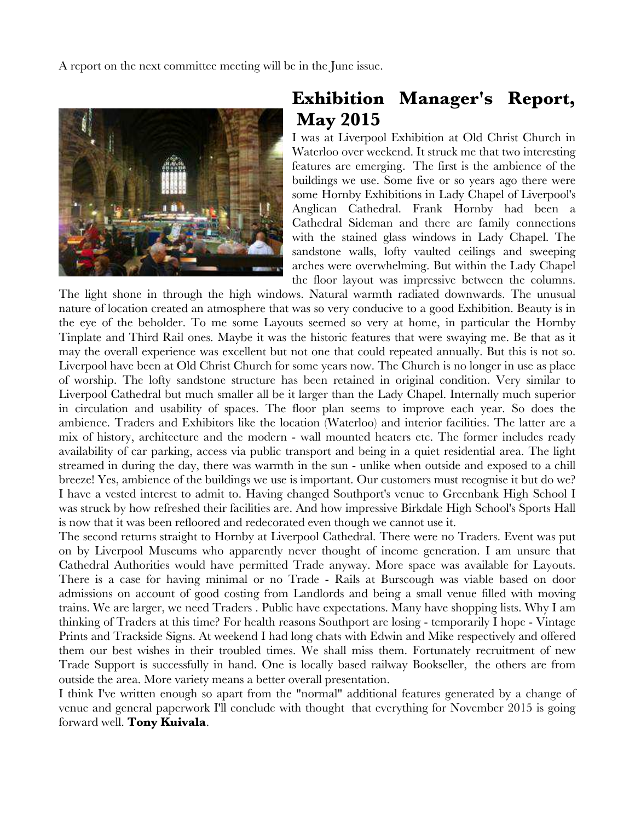A report on the next committee meeting will be in the June issue.



# **Exhibition Manager's Report, May 2015**

I was at Liverpool Exhibition at Old Christ Church in Waterloo over weekend. It struck me that two interesting features are emerging. The first is the ambience of the buildings we use. Some five or so years ago there were some Hornby Exhibitions in Lady Chapel of Liverpool's Anglican Cathedral. Frank Hornby had been a Cathedral Sideman and there are family connections with the stained glass windows in Lady Chapel. The sandstone walls, lofty vaulted ceilings and sweeping arches were overwhelming. But within the Lady Chapel the floor layout was impressive between the columns.

The light shone in through the high windows. Natural warmth radiated downwards. The unusual nature of location created an atmosphere that was so very conducive to a good Exhibition. Beauty is in the eye of the beholder. To me some Layouts seemed so very at home, in particular the Hornby Tinplate and Third Rail ones. Maybe it was the historic features that were swaying me. Be that as it may the overall experience was excellent but not one that could repeated annually. But this is not so. Liverpool have been at Old Christ Church for some years now. The Church is no longer in use as place of worship. The lofty sandstone structure has been retained in original condition. Very similar to Liverpool Cathedral but much smaller all be it larger than the Lady Chapel. Internally much superior in circulation and usability of spaces. The floor plan seems to improve each year. So does the ambience. Traders and Exhibitors like the location (Waterloo) and interior facilities. The latter are a mix of history, architecture and the modern - wall mounted heaters etc. The former includes ready availability of car parking, access via public transport and being in a quiet residential area. The light streamed in during the day, there was warmth in the sun - unlike when outside and exposed to a chill breeze! Yes, ambience of the buildings we use is important. Our customers must recognise it but do we? I have a vested interest to admit to. Having changed Southport's venue to Greenbank High School I was struck by how refreshed their facilities are. And how impressive Birkdale High School's Sports Hall is now that it was been refloored and redecorated even though we cannot use it.

The second returns straight to Hornby at Liverpool Cathedral. There were no Traders. Event was put on by Liverpool Museums who apparently never thought of income generation. I am unsure that Cathedral Authorities would have permitted Trade anyway. More space was available for Layouts. There is a case for having minimal or no Trade - Rails at Burscough was viable based on door admissions on account of good costing from Landlords and being a small venue filled with moving trains. We are larger, we need Traders . Public have expectations. Many have shopping lists. Why I am thinking of Traders at this time? For health reasons Southport are losing - temporarily I hope - Vintage Prints and Trackside Signs. At weekend I had long chats with Edwin and Mike respectively and offered them our best wishes in their troubled times. We shall miss them. Fortunately recruitment of new Trade Support is successfully in hand. One is locally based railway Bookseller, the others are from outside the area. More variety means a better overall presentation.

I think I've written enough so apart from the "normal" additional features generated by a change of venue and general paperwork I'll conclude with thought that everything for November 2015 is going forward well. **Tony Kuivala**.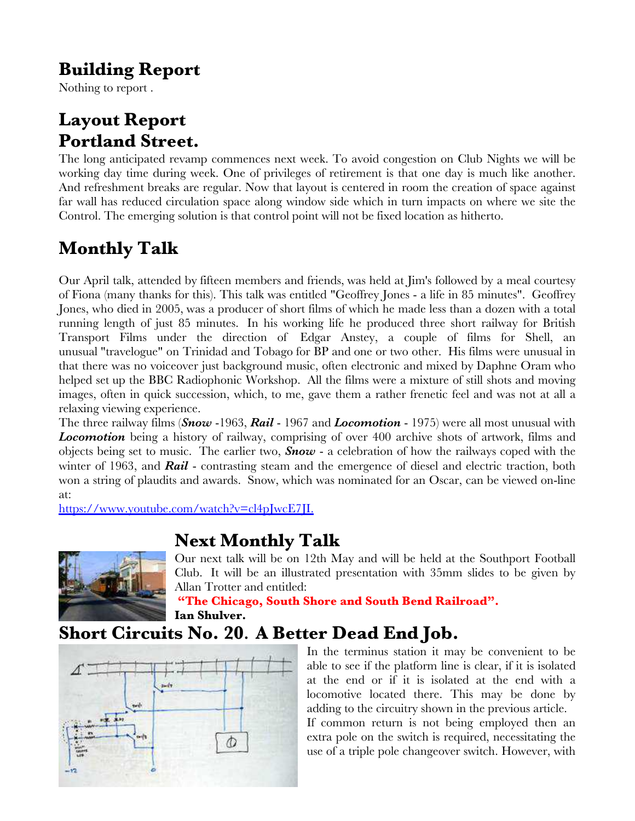# **Building Report**

Nothing to report .

# **Layout Report Portland Street.**

The long anticipated revamp commences next week. To avoid congestion on Club Nights we will be working day time during week. One of privileges of retirement is that one day is much like another. And refreshment breaks are regular. Now that layout is centered in room the creation of space against far wall has reduced circulation space along window side which in turn impacts on where we site the Control. The emerging solution is that control point will not be fixed location as hitherto.

# **Monthly Talk**

Our April talk, attended by fifteen members and friends, was held at Jim's followed by a meal courtesy of Fiona (many thanks for this). This talk was entitled "Geoffrey Jones - a life in 85 minutes". Geoffrey Jones, who died in 2005, was a producer of short films of which he made less than a dozen with a total running length of just 85 minutes. In his working life he produced three short railway for British Transport Films under the direction of Edgar Anstey, a couple of films for Shell, an unusual "travelogue" on Trinidad and Tobago for BP and one or two other. His films were unusual in that there was no voiceover just background music, often electronic and mixed by Daphne Oram who helped set up the BBC Radiophonic Workshop. All the films were a mixture of still shots and moving images, often in quick succession, which, to me, gave them a rather frenetic feel and was not at all a relaxing viewing experience.

The three railway films (*Snow* -1963, *Rail* - 1967 and *Locomotion* - 1975) were all most unusual with *Locomotion* being a history of railway, comprising of over 400 archive shots of artwork, films and objects being set to music. The earlier two, *Snow* - a celebration of how the railways coped with the winter of 1963, and *Rail* - contrasting steam and the emergence of diesel and electric traction, both won a string of plaudits and awards. Snow, which was nominated for an Oscar, can be viewed on-line at:

https://www.youtube.com/watch?v=cl4pJwcE7JI.

# **Next Monthly Talk**



Our next talk will be on 12th May and will be held at the Southport Football Club. It will be an illustrated presentation with 35mm slides to be given by Allan Trotter and entitled:

**"The Chicago, South Shore and South Bend Railroad". Ian Shulver.**

# **Short Circuits No. 20. A Better Dead End Job.**



In the terminus station it may be convenient to be able to see if the platform line is clear, if it is isolated at the end or if it is isolated at the end with a locomotive located there. This may be done by adding to the circuitry shown in the previous article.

If common return is not being employed then an extra pole on the switch is required, necessitating the use of a triple pole changeover switch. However, with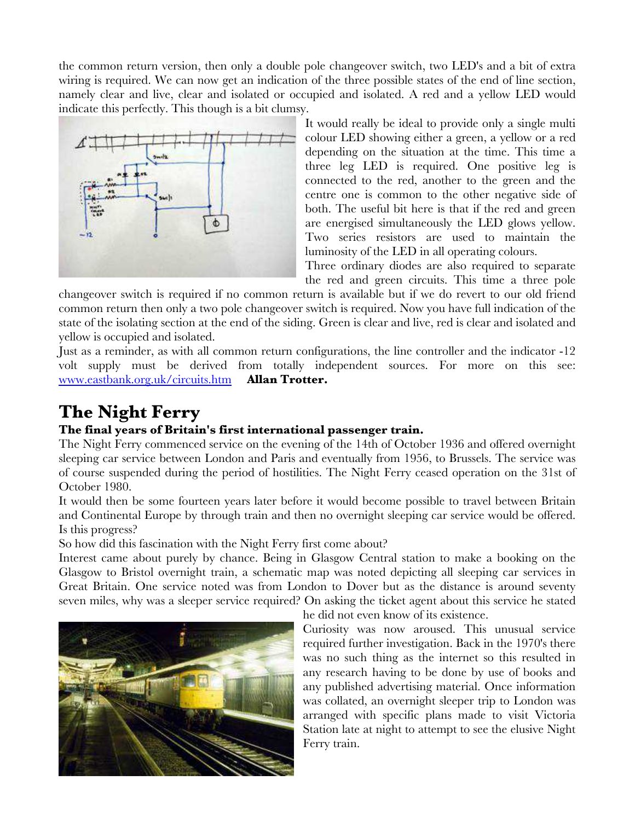the common return version, then only a double pole changeover switch, two LED's and a bit of extra wiring is required. We can now get an indication of the three possible states of the end of line section, namely clear and live, clear and isolated or occupied and isolated. A red and a yellow LED would indicate this perfectly. This though is a bit clumsy.



It would really be ideal to provide only a single multi colour LED showing either a green, a yellow or a red depending on the situation at the time. This time a three leg LED is required. One positive leg is connected to the red, another to the green and the centre one is common to the other negative side of both. The useful bit here is that if the red and green are energised simultaneously the LED glows yellow. Two series resistors are used to maintain the luminosity of the LED in all operating colours.

Three ordinary diodes are also required to separate the red and green circuits. This time a three pole

changeover switch is required if no common return is available but if we do revert to our old friend common return then only a two pole changeover switch is required. Now you have full indication of the state of the isolating section at the end of the siding. Green is clear and live, red is clear and isolated and yellow is occupied and isolated.

Just as a reminder, as with all common return configurations, the line controller and the indicator -12 volt supply must be derived from totally independent sources. For more on this see: [www.eastbank.org.uk/circuits.htm](http://www.eastbank.org.uk/circuits.htm) **Allan Trotter.**

# **The Night Ferry**

#### **The final years of Britain's first international passenger train.**

The Night Ferry commenced service on the evening of the 14th of October 1936 and offered overnight sleeping car service between London and Paris and eventually from 1956, to Brussels. The service was of course suspended during the period of hostilities. The Night Ferry ceased operation on the 31st of October 1980.

It would then be some fourteen years later before it would become possible to travel between Britain and Continental Europe by through train and then no overnight sleeping car service would be offered. Is this progress?

So how did this fascination with the Night Ferry first come about?

Interest came about purely by chance. Being in Glasgow Central station to make a booking on the Glasgow to Bristol overnight train, a schematic map was noted depicting all sleeping car services in Great Britain. One service noted was from London to Dover but as the distance is around seventy seven miles, why was a sleeper service required? On asking the ticket agent about this service he stated



he did not even know of its existence.

Curiosity was now aroused. This unusual service required further investigation. Back in the 1970's there was no such thing as the internet so this resulted in any research having to be done by use of books and any published advertising material. Once information was collated, an overnight sleeper trip to London was arranged with specific plans made to visit Victoria Station late at night to attempt to see the elusive Night Ferry train.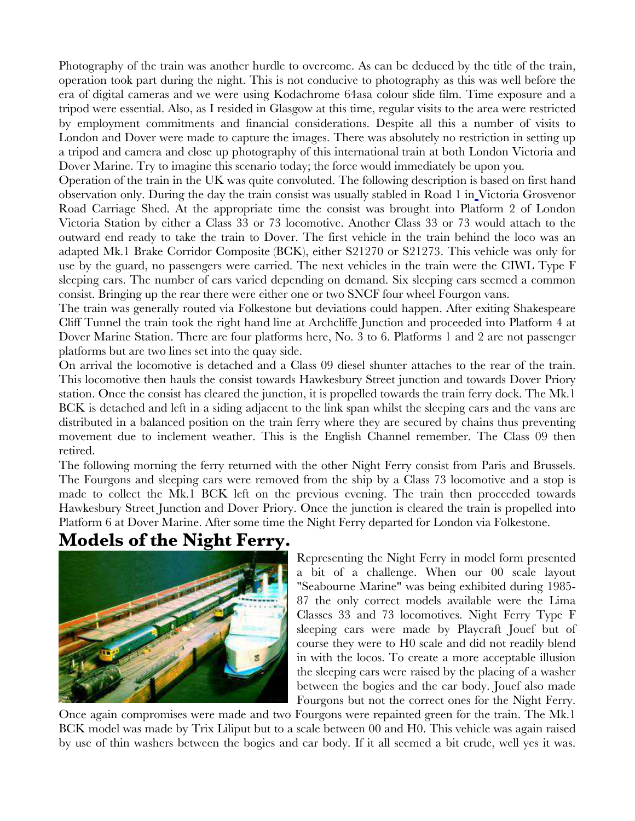Photography of the train was another hurdle to overcome. As can be deduced by the title of the train, operation took part during the night. This is not conducive to photography as this was well before the era of digital cameras and we were using Kodachrome 64asa colour slide film. Time exposure and a tripod were essential. Also, as I resided in Glasgow at this time, regular visits to the area were restricted by employment commitments and financial considerations. Despite all this a number of visits to London and Dover were made to capture the images. There was absolutely no restriction in setting up a tripod and camera and close up photography of this international train at both London Victoria and Dover Marine. Try to imagine this scenario today; the force would immediately be upon you.

Operation of the train in the UK was quite convoluted. The following description is based on first hand observation only. During the day the train consist was usually stabled in Road 1 in Victoria Grosvenor Road Carriage Shed. At the appropriate time the consist was brought into Platform 2 of London Victoria Station by either a Class 33 or 73 locomotive. Another Class 33 or 73 would attach to the outward end ready to take the train to Dover. The first vehicle in the train behind the loco was an adapted Mk.1 Brake Corridor Composite (BCK), either S21270 or S21273. This vehicle was only for use by the guard, no passengers were carried. The next vehicles in the train were the CIWL Type F sleeping cars. The number of cars varied depending on demand. Six sleeping cars seemed a common consist. Bringing up the rear there were either one or two SNCF four wheel Fourgon vans.

The train was generally routed via Folkestone but deviations could happen. After exiting Shakespeare Cliff Tunnel the train took the right hand line at Archcliffe Junction and proceeded into Platform 4 at Dover Marine Station. There are four platforms here, No. 3 to 6. Platforms 1 and 2 are not passenger platforms but are two lines set into the quay side.

On arrival the locomotive is detached and a Class 09 diesel shunter attaches to the rear of the train. This locomotive then hauls the consist towards Hawkesbury Street junction and towards Dover Priory station. Once the consist has cleared the junction, it is propelled towards the train ferry dock. The Mk.1 BCK is detached and left in a siding adjacent to the link span whilst the sleeping cars and the vans are distributed in a balanced position on the train ferry where they are secured by chains thus preventing movement due to inclement weather. This is the English Channel remember. The Class 09 then retired.

The following morning the ferry returned with the other Night Ferry consist from Paris and Brussels. The Fourgons and sleeping cars were removed from the ship by a Class 73 locomotive and a stop is made to collect the Mk.1 BCK left on the previous evening. The train then proceeded towards Hawkesbury Street Junction and Dover Priory. Once the junction is cleared the train is propelled into Platform 6 at Dover Marine. After some time the Night Ferry departed for London via Folkestone.

## **Models of the Night Ferry.**



Representing the Night Ferry in model form presented a bit of a challenge. When our 00 scale layout "Seabourne Marine" was being exhibited during 1985- 87 the only correct models available were the Lima Classes 33 and 73 locomotives. Night Ferry Type F sleeping cars were made by Playcraft Jouef but of course they were to H0 scale and did not readily blend in with the locos. To create a more acceptable illusion the sleeping cars were raised by the placing of a washer between the bogies and the car body. Jouef also made Fourgons but not the correct ones for the Night Ferry.

Once again compromises were made and two Fourgons were repainted green for the train. The Mk.1 BCK model was made by Trix Liliput but to a scale between 00 and H0. This vehicle was again raised by use of thin washers between the bogies and car body. If it all seemed a bit crude, well yes it was.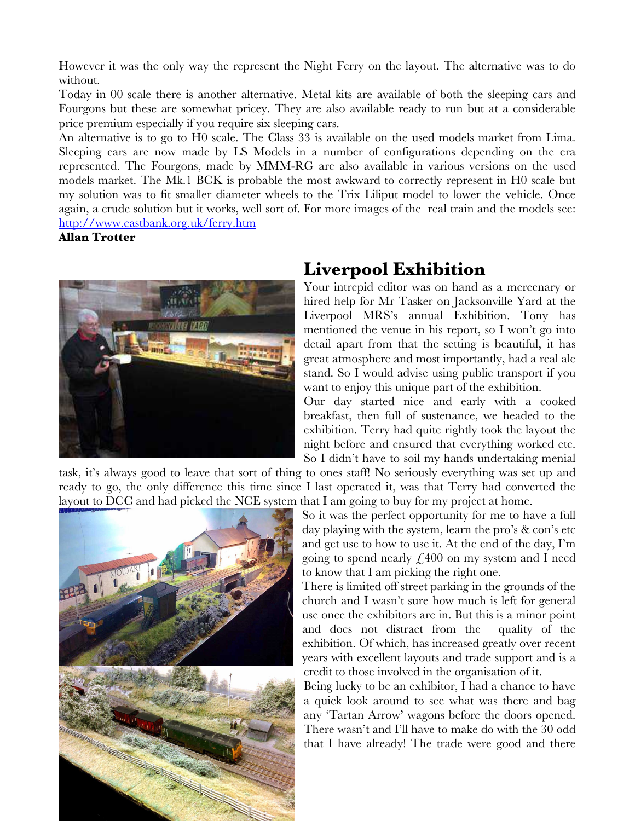However it was the only way the represent the Night Ferry on the layout. The alternative was to do without.

Today in 00 scale there is another alternative. Metal kits are available of both the sleeping cars and Fourgons but these are somewhat pricey. They are also available ready to run but at a considerable price premium especially if you require six sleeping cars.

An alternative is to go to H0 scale. The Class 33 is available on the used models market from Lima. Sleeping cars are now made by LS Models in a number of configurations depending on the era represented. The Fourgons, made by MMM-RG are also available in various versions on the used models market. The Mk.1 BCK is probable the most awkward to correctly represent in H0 scale but my solution was to fit smaller diameter wheels to the Trix Liliput model to lower the vehicle. Once again, a crude solution but it works, well sort of. For more images of the real train and the models see: <http://www.eastbank.org.uk/ferry.htm>

**Allan Trotter**



## **Liverpool Exhibition**

Your intrepid editor was on hand as a mercenary or hired help for Mr Tasker on Jacksonville Yard at the Liverpool MRS's annual Exhibition. Tony has mentioned the venue in his report, so I won't go into detail apart from that the setting is beautiful, it has great atmosphere and most importantly, had a real ale stand. So I would advise using public transport if you want to enjoy this unique part of the exhibition.

Our day started nice and early with a cooked breakfast, then full of sustenance, we headed to the exhibition. Terry had quite rightly took the layout the night before and ensured that everything worked etc. So I didn't have to soil my hands undertaking menial

task, it's always good to leave that sort of thing to ones staff! No seriously everything was set up and ready to go, the only difference this time since I last operated it, was that Terry had converted the layout to DCC and had picked the NCE system that I am going to buy for my project at home.



So it was the perfect opportunity for me to have a full day playing with the system, learn the pro's & con's etc and get use to how to use it. At the end of the day, I'm going to spend nearly  $\text{\textsterling}400$  on my system and I need to know that I am picking the right one.

There is limited off street parking in the grounds of the church and I wasn't sure how much is left for general use once the exhibitors are in. But this is a minor point and does not distract from the quality of the exhibition. Of which, has increased greatly over recent years with excellent layouts and trade support and is a credit to those involved in the organisation of it.

Being lucky to be an exhibitor, I had a chance to have a quick look around to see what was there and bag any 'Tartan Arrow' wagons before the doors opened. There wasn't and I'll have to make do with the 30 odd that I have already! The trade were good and there